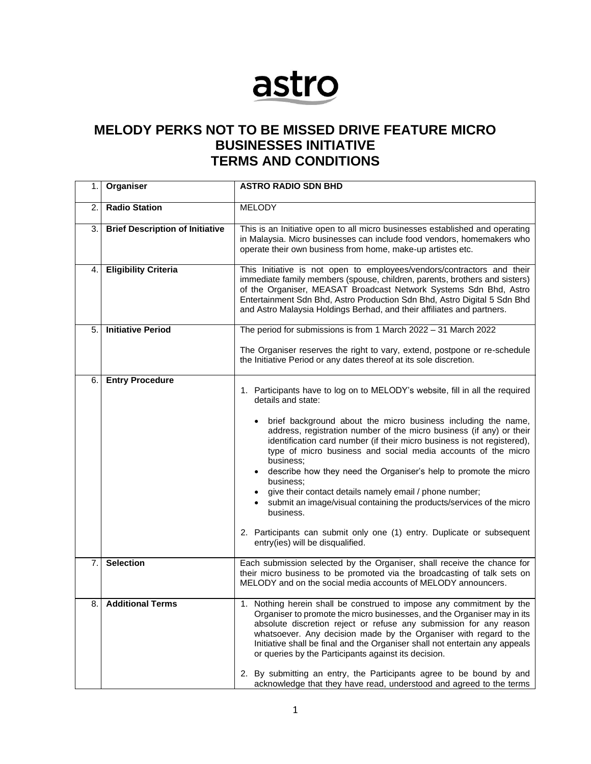## astro

## **MELODY PERKS NOT TO BE MISSED DRIVE FEATURE MICRO BUSINESSES INITIATIVE TERMS AND CONDITIONS**

| 1.1 | Organiser                              | <b>ASTRO RADIO SDN BHD</b>                                                                                                                                                                                                                                                                                                                                                                                                                                                                                                                                                                                                                                                                                                                            |
|-----|----------------------------------------|-------------------------------------------------------------------------------------------------------------------------------------------------------------------------------------------------------------------------------------------------------------------------------------------------------------------------------------------------------------------------------------------------------------------------------------------------------------------------------------------------------------------------------------------------------------------------------------------------------------------------------------------------------------------------------------------------------------------------------------------------------|
| 2.  | <b>Radio Station</b>                   | <b>MELODY</b>                                                                                                                                                                                                                                                                                                                                                                                                                                                                                                                                                                                                                                                                                                                                         |
| 3.  | <b>Brief Description of Initiative</b> | This is an Initiative open to all micro businesses established and operating<br>in Malaysia. Micro businesses can include food vendors, homemakers who<br>operate their own business from home, make-up artistes etc.                                                                                                                                                                                                                                                                                                                                                                                                                                                                                                                                 |
| 4.  | <b>Eligibility Criteria</b>            | This Initiative is not open to employees/vendors/contractors and their<br>immediate family members (spouse, children, parents, brothers and sisters)<br>of the Organiser, MEASAT Broadcast Network Systems Sdn Bhd, Astro<br>Entertainment Sdn Bhd, Astro Production Sdn Bhd, Astro Digital 5 Sdn Bhd<br>and Astro Malaysia Holdings Berhad, and their affiliates and partners.                                                                                                                                                                                                                                                                                                                                                                       |
| 5.  | <b>Initiative Period</b>               | The period for submissions is from 1 March 2022 - 31 March 2022                                                                                                                                                                                                                                                                                                                                                                                                                                                                                                                                                                                                                                                                                       |
|     |                                        | The Organiser reserves the right to vary, extend, postpone or re-schedule<br>the Initiative Period or any dates thereof at its sole discretion.                                                                                                                                                                                                                                                                                                                                                                                                                                                                                                                                                                                                       |
| 6.  | <b>Entry Procedure</b>                 | 1. Participants have to log on to MELODY's website, fill in all the required<br>details and state:<br>brief background about the micro business including the name,<br>address, registration number of the micro business (if any) or their<br>identification card number (if their micro business is not registered),<br>type of micro business and social media accounts of the micro<br>business;<br>• describe how they need the Organiser's help to promote the micro<br>business;<br>give their contact details namely email / phone number;<br>submit an image/visual containing the products/services of the micro<br>business.<br>2. Participants can submit only one (1) entry. Duplicate or subsequent<br>entry(ies) will be disqualified. |
| 7.  | <b>Selection</b>                       | Each submission selected by the Organiser, shall receive the chance for<br>their micro business to be promoted via the broadcasting of talk sets on<br>MELODY and on the social media accounts of MELODY announcers.                                                                                                                                                                                                                                                                                                                                                                                                                                                                                                                                  |
| 8.  | <b>Additional Terms</b>                | 1. Nothing herein shall be construed to impose any commitment by the<br>Organiser to promote the micro businesses, and the Organiser may in its<br>absolute discretion reject or refuse any submission for any reason<br>whatsoever. Any decision made by the Organiser with regard to the<br>Initiative shall be final and the Organiser shall not entertain any appeals<br>or queries by the Participants against its decision.<br>2. By submitting an entry, the Participants agree to be bound by and<br>acknowledge that they have read, understood and agreed to the terms                                                                                                                                                                      |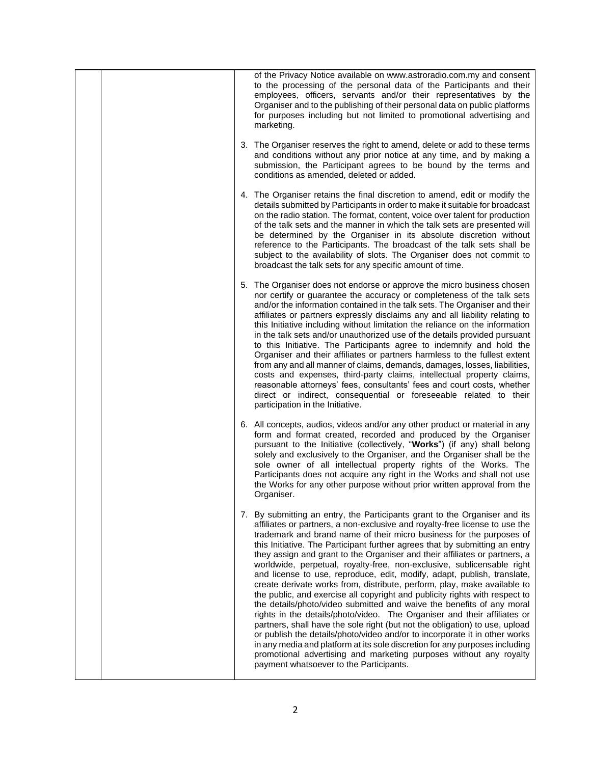| of the Privacy Notice available on www.astroradio.com.my and consent<br>to the processing of the personal data of the Participants and their<br>employees, officers, servants and/or their representatives by the<br>Organiser and to the publishing of their personal data on public platforms<br>for purposes including but not limited to promotional advertising and<br>marketing.                                                                                                                                                                                                                                                                                                                                                                                                                                                                                                                                                                                                                                                                                                                                                                                                                                           |
|----------------------------------------------------------------------------------------------------------------------------------------------------------------------------------------------------------------------------------------------------------------------------------------------------------------------------------------------------------------------------------------------------------------------------------------------------------------------------------------------------------------------------------------------------------------------------------------------------------------------------------------------------------------------------------------------------------------------------------------------------------------------------------------------------------------------------------------------------------------------------------------------------------------------------------------------------------------------------------------------------------------------------------------------------------------------------------------------------------------------------------------------------------------------------------------------------------------------------------|
| 3. The Organiser reserves the right to amend, delete or add to these terms<br>and conditions without any prior notice at any time, and by making a<br>submission, the Participant agrees to be bound by the terms and<br>conditions as amended, deleted or added.                                                                                                                                                                                                                                                                                                                                                                                                                                                                                                                                                                                                                                                                                                                                                                                                                                                                                                                                                                |
| 4. The Organiser retains the final discretion to amend, edit or modify the<br>details submitted by Participants in order to make it suitable for broadcast<br>on the radio station. The format, content, voice over talent for production<br>of the talk sets and the manner in which the talk sets are presented will<br>be determined by the Organiser in its absolute discretion without<br>reference to the Participants. The broadcast of the talk sets shall be<br>subject to the availability of slots. The Organiser does not commit to<br>broadcast the talk sets for any specific amount of time.                                                                                                                                                                                                                                                                                                                                                                                                                                                                                                                                                                                                                      |
| 5. The Organiser does not endorse or approve the micro business chosen<br>nor certify or guarantee the accuracy or completeness of the talk sets<br>and/or the information contained in the talk sets. The Organiser and their<br>affiliates or partners expressly disclaims any and all liability relating to<br>this Initiative including without limitation the reliance on the information<br>in the talk sets and/or unauthorized use of the details provided pursuant<br>to this Initiative. The Participants agree to indemnify and hold the<br>Organiser and their affiliates or partners harmless to the fullest extent<br>from any and all manner of claims, demands, damages, losses, liabilities,<br>costs and expenses, third-party claims, intellectual property claims,<br>reasonable attorneys' fees, consultants' fees and court costs, whether<br>direct or indirect, consequential or foreseeable related to their<br>participation in the Initiative.                                                                                                                                                                                                                                                        |
| 6. All concepts, audios, videos and/or any other product or material in any<br>form and format created, recorded and produced by the Organiser<br>pursuant to the Initiative (collectively, "Works") (if any) shall belong<br>solely and exclusively to the Organiser, and the Organiser shall be the<br>sole owner of all intellectual property rights of the Works. The<br>Participants does not acquire any right in the Works and shall not use<br>the Works for any other purpose without prior written approval from the<br>Organiser.                                                                                                                                                                                                                                                                                                                                                                                                                                                                                                                                                                                                                                                                                     |
| 7. By submitting an entry, the Participants grant to the Organiser and its<br>affiliates or partners, a non-exclusive and royalty-free license to use the<br>trademark and brand name of their micro business for the purposes of<br>this Initiative. The Participant further agrees that by submitting an entry<br>they assign and grant to the Organiser and their affiliates or partners, a<br>worldwide, perpetual, royalty-free, non-exclusive, sublicensable right<br>and license to use, reproduce, edit, modify, adapt, publish, translate,<br>create derivate works from, distribute, perform, play, make available to<br>the public, and exercise all copyright and publicity rights with respect to<br>the details/photo/video submitted and waive the benefits of any moral<br>rights in the details/photo/video. The Organiser and their affiliates or<br>partners, shall have the sole right (but not the obligation) to use, upload<br>or publish the details/photo/video and/or to incorporate it in other works<br>in any media and platform at its sole discretion for any purposes including<br>promotional advertising and marketing purposes without any royalty<br>payment whatsoever to the Participants. |